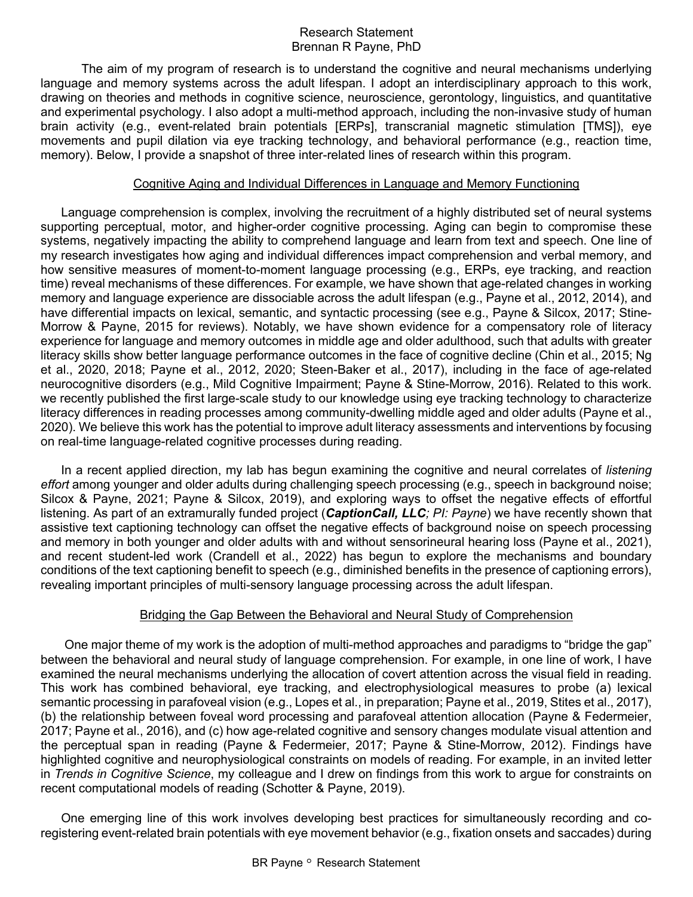## Research Statement Brennan R Payne, PhD

The aim of my program of research is to understand the cognitive and neural mechanisms underlying language and memory systems across the adult lifespan. I adopt an interdisciplinary approach to this work, drawing on theories and methods in cognitive science, neuroscience, gerontology, linguistics, and quantitative and experimental psychology. I also adopt a multi-method approach, including the non-invasive study of human brain activity (e.g., event-related brain potentials [ERPs], transcranial magnetic stimulation [TMS]), eye movements and pupil dilation via eye tracking technology, and behavioral performance (e.g., reaction time, memory). Below, I provide a snapshot of three inter-related lines of research within this program.

## Cognitive Aging and Individual Differences in Language and Memory Functioning

Language comprehension is complex, involving the recruitment of a highly distributed set of neural systems supporting perceptual, motor, and higher-order cognitive processing. Aging can begin to compromise these systems, negatively impacting the ability to comprehend language and learn from text and speech. One line of my research investigates how aging and individual differences impact comprehension and verbal memory, and how sensitive measures of moment-to-moment language processing (e.g., ERPs, eye tracking, and reaction time) reveal mechanisms of these differences. For example, we have shown that age-related changes in working memory and language experience are dissociable across the adult lifespan (e.g., Payne et al., 2012, 2014), and have differential impacts on lexical, semantic, and syntactic processing (see e.g., Payne & Silcox, 2017; Stine-Morrow & Payne, 2015 for reviews). Notably, we have shown evidence for a compensatory role of literacy experience for language and memory outcomes in middle age and older adulthood, such that adults with greater literacy skills show better language performance outcomes in the face of cognitive decline (Chin et al., 2015; Ng et al., 2020, 2018; Payne et al., 2012, 2020; Steen-Baker et al., 2017), including in the face of age-related neurocognitive disorders (e.g., Mild Cognitive Impairment; Payne & Stine-Morrow, 2016). Related to this work. we recently published the first large-scale study to our knowledge using eye tracking technology to characterize literacy differences in reading processes among community-dwelling middle aged and older adults (Payne et al., 2020). We believe this work has the potential to improve adult literacy assessments and interventions by focusing on real-time language-related cognitive processes during reading.

In a recent applied direction, my lab has begun examining the cognitive and neural correlates of *listening effort* among younger and older adults during challenging speech processing (e.g., speech in background noise; Silcox & Payne, 2021; Payne & Silcox, 2019), and exploring ways to offset the negative effects of effortful listening. As part of an extramurally funded project (*CaptionCall, LLC; PI: Payne*) we have recently shown that assistive text captioning technology can offset the negative effects of background noise on speech processing and memory in both younger and older adults with and without sensorineural hearing loss (Payne et al., 2021), and recent student-led work (Crandell et al., 2022) has begun to explore the mechanisms and boundary conditions of the text captioning benefit to speech (e.g., diminished benefits in the presence of captioning errors), revealing important principles of multi-sensory language processing across the adult lifespan.

## Bridging the Gap Between the Behavioral and Neural Study of Comprehension

One major theme of my work is the adoption of multi-method approaches and paradigms to "bridge the gap" between the behavioral and neural study of language comprehension. For example, in one line of work, I have examined the neural mechanisms underlying the allocation of covert attention across the visual field in reading. This work has combined behavioral, eye tracking, and electrophysiological measures to probe (a) lexical semantic processing in parafoveal vision (e.g., Lopes et al., in preparation; Payne et al., 2019, Stites et al., 2017), (b) the relationship between foveal word processing and parafoveal attention allocation (Payne & Federmeier, 2017; Payne et al., 2016), and (c) how age-related cognitive and sensory changes modulate visual attention and the perceptual span in reading (Payne & Federmeier, 2017; Payne & Stine-Morrow, 2012). Findings have highlighted cognitive and neurophysiological constraints on models of reading. For example, in an invited letter in *Trends in Cognitive Science*, my colleague and I drew on findings from this work to argue for constraints on recent computational models of reading (Schotter & Payne, 2019).

One emerging line of this work involves developing best practices for simultaneously recording and coregistering event-related brain potentials with eye movement behavior (e.g., fixation onsets and saccades) during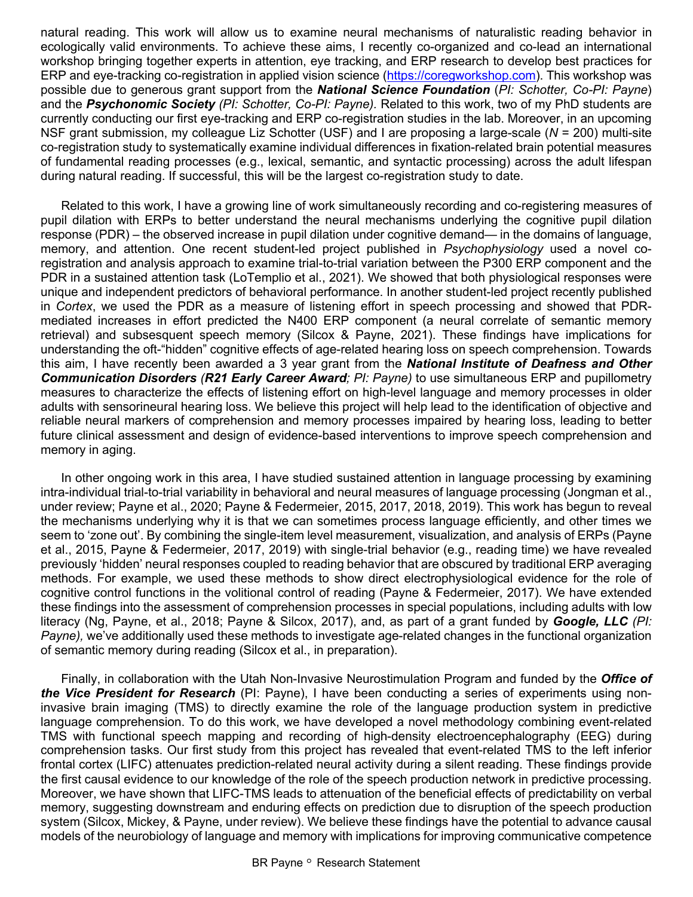natural reading. This work will allow us to examine neural mechanisms of naturalistic reading behavior in ecologically valid environments. To achieve these aims, I recently co-organized and co-lead an international workshop bringing together experts in attention, eye tracking, and ERP research to develop best practices for ERP and eye-tracking co-registration in applied vision science (https://coregworkshop.com). This workshop was possible due to generous grant support from the *National Science Foundation* (*PI: Schotter, Co-PI: Payne*) and the *Psychonomic Society (PI: Schotter, Co-PI: Payne).* Related to this work, two of my PhD students are currently conducting our first eye-tracking and ERP co-registration studies in the lab. Moreover, in an upcoming NSF grant submission, my colleague Liz Schotter (USF) and I are proposing a large-scale (*N* = 200) multi-site co-registration study to systematically examine individual differences in fixation-related brain potential measures of fundamental reading processes (e.g., lexical, semantic, and syntactic processing) across the adult lifespan during natural reading. If successful, this will be the largest co-registration study to date.

Related to this work, I have a growing line of work simultaneously recording and co-registering measures of pupil dilation with ERPs to better understand the neural mechanisms underlying the cognitive pupil dilation response (PDR) – the observed increase in pupil dilation under cognitive demand— in the domains of language, memory, and attention. One recent student-led project published in *Psychophysiology* used a novel coregistration and analysis approach to examine trial-to-trial variation between the P300 ERP component and the PDR in a sustained attention task (LoTemplio et al., 2021). We showed that both physiological responses were unique and independent predictors of behavioral performance. In another student-led project recently published in *Cortex*, we used the PDR as a measure of listening effort in speech processing and showed that PDRmediated increases in effort predicted the N400 ERP component (a neural correlate of semantic memory retrieval) and subsesquent speech memory (Silcox & Payne, 2021). These findings have implications for understanding the oft-"hidden" cognitive effects of age-related hearing loss on speech comprehension. Towards this aim, I have recently been awarded a 3 year grant from the *National Institute of Deafness and Other Communication Disorders (R21 Early Career Award; PI: Payne)* to use simultaneous ERP and pupillometry measures to characterize the effects of listening effort on high-level language and memory processes in older adults with sensorineural hearing loss. We believe this project will help lead to the identification of objective and reliable neural markers of comprehension and memory processes impaired by hearing loss, leading to better future clinical assessment and design of evidence-based interventions to improve speech comprehension and memory in aging.

In other ongoing work in this area, I have studied sustained attention in language processing by examining intra-individual trial-to-trial variability in behavioral and neural measures of language processing (Jongman et al., under review; Payne et al., 2020; Payne & Federmeier, 2015, 2017, 2018, 2019). This work has begun to reveal the mechanisms underlying why it is that we can sometimes process language efficiently, and other times we seem to 'zone out'. By combining the single-item level measurement, visualization, and analysis of ERPs (Payne et al., 2015, Payne & Federmeier, 2017, 2019) with single-trial behavior (e.g., reading time) we have revealed previously 'hidden' neural responses coupled to reading behavior that are obscured by traditional ERP averaging methods. For example, we used these methods to show direct electrophysiological evidence for the role of cognitive control functions in the volitional control of reading (Payne & Federmeier, 2017). We have extended these findings into the assessment of comprehension processes in special populations, including adults with low literacy (Ng, Payne, et al., 2018; Payne & Silcox, 2017), and, as part of a grant funded by *Google, LLC (PI: Payne),* we've additionally used these methods to investigate age-related changes in the functional organization of semantic memory during reading (Silcox et al., in preparation).

Finally, in collaboration with the Utah Non-Invasive Neurostimulation Program and funded by the *Office of the Vice President for Research* (PI: Payne), I have been conducting a series of experiments using noninvasive brain imaging (TMS) to directly examine the role of the language production system in predictive language comprehension. To do this work, we have developed a novel methodology combining event-related TMS with functional speech mapping and recording of high-density electroencephalography (EEG) during comprehension tasks. Our first study from this project has revealed that event-related TMS to the left inferior frontal cortex (LIFC) attenuates prediction-related neural activity during a silent reading. These findings provide the first causal evidence to our knowledge of the role of the speech production network in predictive processing. Moreover, we have shown that LIFC-TMS leads to attenuation of the beneficial effects of predictability on verbal memory, suggesting downstream and enduring effects on prediction due to disruption of the speech production system (Silcox, Mickey, & Payne, under review). We believe these findings have the potential to advance causal models of the neurobiology of language and memory with implications for improving communicative competence